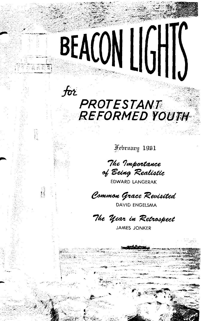### $\bm{f}$ or PROTESTANT **REFORMED YOUTH**

BEACON LIGHIS

最高配票

R

February 1961

The Importance of Being Realistic

EDWARD LANGERAK

Common Grace Revisited

DAVID ENGELSMA

The Year in Retrospect

**JAMES JONKER**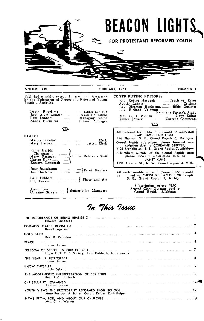

| People's Societies. |
|---------------------|
|---------------------|

| David Engelsma    |        | Editor-in-Chief  |
|-------------------|--------|------------------|
| Rev. Alvin Mulder | $\sim$ | Associate Editor |
| Lam Lubbers       |        | Managing Editor  |
| Nancy Heemstra    |        | Finance Manager  |
|                   |        |                  |

 $\sigma$ 

STAFF:

| Marcia Newhoi         |                      |             | Clerk |
|-----------------------|----------------------|-------------|-------|
| Mary $Pa\text{-}toor$ | $\sim$ $\sim$ $\sim$ | Asst. Clerk |       |

Roger Harbin<br>Chairman Public Relations Staff Mary Pastoor Edward Langerak

Judy Bouwkamp<br>Don Doezema.  $\frac{1}{\sqrt{1-\frac{1}{2}}}\frac{1}{\sqrt{1-\frac{1}{2}}}\$ Proof Readers

Lam Lubbers  $-\cdots$ <br>Bob Decker  $\begin{array}{c} \begin{array}{c} \text{---} \\ \text{---} \end{array}$  Photo and Art

Janet Kunz...<br>Corraine Streyle [115] Subscription Managers

| <b>CONTRIBUTING EDITORS:</b><br>Rev. Robert Harbach Truth vs. Error<br>$\Lambda$ gatha Lubbers $\ldots$ $\ldots$ Critique |                                        |  |  |  |
|---------------------------------------------------------------------------------------------------------------------------|----------------------------------------|--|--|--|
| Rev. Herman Hoeksema  Bible Outlines                                                                                      |                                        |  |  |  |
| Rev. Richard Veldman                                                                                                      |                                        |  |  |  |
| Mrs. C. H. Westra                                                                                                         | From the Pastor's Study<br>News Editor |  |  |  |
| James Jonker (1988)                                                                                                       | Current Comments                       |  |  |  |
|                                                                                                                           |                                        |  |  |  |
| All material for publication should be addressed                                                                          |                                        |  |  |  |

846 Thomas, S. E., Grand Rapids 6, Michigan. Grand Rapids subscribers please forward sub-<br>Grand Rapids subscribers please forward sub-<br>scription dues to CORRAINE STREYLE,<br>1125 Franklin St., S. E., Grand Rapids 7, Michigan Subscribers outside of the Grand Rapids area<br>please forward subscription dues to JANET KUNZ<br>131 Arianna St., N. W., Grand Rapids 4, Mich.

All undeliverable material (Forms 3579) should<br>be returned to CHRISTINE FABER, 1028 Temple<br>S. E., Grand Rapids 7, Michigan.

Subscription price: \$3.00<br>Second Class Postage paid at<br>Grand Rapids, Michigan

### In This Issue

|              | Edward Langerak                                                                                                                                                                                                                                           |
|--------------|-----------------------------------------------------------------------------------------------------------------------------------------------------------------------------------------------------------------------------------------------------------|
|              | David Engelsma                                                                                                                                                                                                                                            |
|              | Rev. R. Veldman                                                                                                                                                                                                                                           |
| <b>PEACE</b> | گاه است. میکنند، از میشود و با استفاده میشود با میشود و استفاده میشود است. می از استفاده است.<br>the commission of the commission<br>James Jonker                                                                                                         |
|              | Hope P. R. Y. P. Society, John Kalsbeek, Jr., reporter                                                                                                                                                                                                    |
|              | THE YEAR IN RETROSPECT <b>And the contract of the contract of the contract of the contract of the contract of the contract of the contract of the contract of the contract of the contract of the contract of the contract of th</b><br>James Jonker      |
|              | ,<br>Jessie Dykstra                                                                                                                                                                                                                                       |
|              | THE MODERNISTIC INTERPRETATION OF SCRIPTURE <b>For the community of the contract of the contract of the contract of the contract of the contract of the contract of the contract of the contract of the contract of the contract</b><br>Rev. R C. Harbach |
|              | CHRISTIANITY EXAMINED <b>And the Contract of Contract Contract Contract Contract Contract Contract Contract Contract Contract Contract Contract Contract Contract Contract Contract Contract Contract Contract Contract Contract</b><br>Agatha Lubbers    |
|              | Mary Pastoor, Al Buiter, Gerald Kuiper, Ruth Kuiper                                                                                                                                                                                                       |
|              | Mrs. C. H. Westra                                                                                                                                                                                                                                         |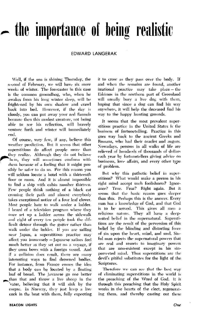## — the importance of being realistic

#### **EDWARD LANGERAK**

Well, if the sun is shining Thursday, the second of February, we will have six more weeks of winter. The forecaster in this case is the common groundhog, who, when he awakes from his long winter sleep, will be frightened by his own shadow and crawl back into bed. However, if the day is cloudy, you can put away your red flannels because then this modest creature, not being able to see his reflection, will bravely venture forth and winter will immediately end.

Of course, very few, if any, believe this weather prediction. But it seems that other superstitions do affect people more than they realize. Although they do not believe hem, they will sometimes conform with chem because of a feeling that it might possibly be safer to do so. For this reason you will seldom locate a hotel with a thirteenth floor or room. And it is almost impossible to find a ship with cabin number thirteen. Few people think nothing of a black cat crossing their path and almost everybody takes exceptional notice of a four leaf clover. Most people hate to walk under a ladder. I heard of a television program where they once set up a ladder across the sidewalk and eight of every ten people took the difficult detour through the gutter rather than walk under the ladder. If you are sailing near Japan, a superstitious practice may affect you immensely - Japanese sailors feel much better as they set out on a voyage, if they cross bows with a foreign vessel. And if a collision does result, there are many interesting ways to find drowned bodies. For instance, from France comes the idea that a body can be located by a floating loaf of bread. The Javanese go one better than that and throw a live sheep in the vater, believing that it will sink by the corpse. In Norway, they just keep a live cock in the boat with them, fully expecting

it to crow as they pass over the body. If and when the remains are found, another irrational practice may take place - the Eskimos in the northern part of Greenland will usually bury a live dog with them, hoping that since a dog can find his way anywhere, it will help the deceased find his way to the happy hunting grounds.

It seems that the most prevalent superstitious practice in the United States is the business of fortunetelling. Practice in this goes way back to the ancient Greeks and Romans, who had their oracles and augurs. Nowadays, persons in all walks of life are relieved of hundreds of thousands of dollars each vear by fortunetellers giving advice on businesss, love affairs, and every other type of problem.

But why this pathetic belief in superstitions? What would make a person in his right mind accept such foolishness? Ignorance? True. Fear? Right again. But it seems that the basic reason goes deeper than this. Perhaps this is the answer. Every man has a knowledge of God, and that God is to be served. This gives all men a religious nature. They all have a deepseated belief in the supernatural. Superstitions are the result of the perversion of this belief by the blinding and distorting force of sin upon the heart, mind, and soul, Sinful man rejects the supernatural powers that are real and resorts to imaginary powers that are non-existent except in his sinperverted mind. Thus superstitions are the devil's pitiful substitutes for the light of the Scriptures.

Therefore we can see that the best way of eliminating superstitions in the world is the preaching of the Word of God. It is through this preaching that the Holy Spirit works in the hearts of the elect, regenerating them, and thereby casting out these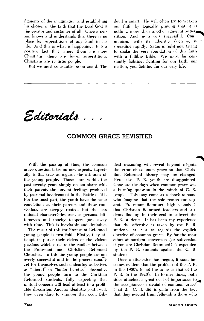figments of the imagination and establishing his chosen in the faith that the Lord God is the creator and sustainer of all. Once a person knows and understands this, there is no place for superstitions of any kind in his life. And this is what is happening. It is a positive fact that where there are more Christians, there are fewer superstitions. Christians are realistic people.

But we must constantly be on guard. The

devil is smart. He will often try to weaken our faith by logically proving that it is nothing more than another ignorant superstition. And he is very successful. Con munism, with its atheistic doctrine, is spreading rapidly. Satan is right now trying to shake the very foundation of this faith with a fallible Bible. We must be constantly fighting, fighting for our faith, our realism, ves. fighting for our very life.

. Editorials

#### COMMON GRACE REVISITED

With the passing of time, the common grace question takes on new aspects, Especially is this true as regards the attitudes of the young people. Those born within the past twenty years simply do not share with their parents the fervent feelings produced by personal involvement in the Battle of '24. For the most part, the youth have the same convictions as their parents and these convictions are deeply rooted, but the less rational characteristics such as personal bitternesses and touchy tempers pass away with time. This is inevitable and desirable.

The result of this for Protestant Reformed young people is two fold. Firstly, they attempt to purge their elders of the viclent passions which obscure the conflict between the Protestant and Christian Reformed Churches. In this the young people are not overly successful and in the process usually get for themselves such endearing adjectives as "liberal" or "junior heretic." Secondly, the young people turn to the Christian Reformed students, fully expecting that mutual concern will lead at least to a profitable discussion. And, as idealistic youth will, they even dare to suppose that cool, Bib-

lical reasoning will reveal beyond dispute the error of common grace so that Christian Reformed history may be changed. Here also, P. R. youth are disappointed. Gone are the days when common grace was a burning question in the minds of C. R. people. This may come as a shock to some who imagine that the sole reason for separate Protestant Reformed high schools is that Christian Reformed teachers and students line up in their zeal to subvert the P. R. students. It has been my experience that the offensive is taken by the P. R. students, at least as regards the explicit doetrine of common grace. By far the most effort at outright conversion (or subversion if you are Christian Reformed) is expended by the P. R. students against the C. R. students.

Once a discussion has begun, it soon becomes evident that the problem of the P. R. in the 1960's is not the same as that of the P. R. in the 1920's. In former times, both sides attached a great deal of importance to the acceptance or denial of common grace That the C. R. did is plain from the fact that they evicted from fellowship those who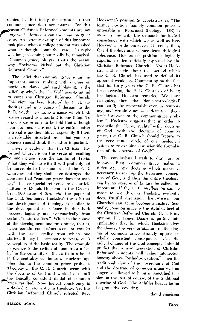denied it. But today the attitude is that common grace does not matter. For this reason Christian Reformed students are not ery well informed about the common grace assue. An extreme example of this ignorance took place when a college student was asked what he thought about the issue. His reply was long in coming but finally he remarked, "Common grace, oh yes, that's the reason why Hoeksema kicked out the Christian Reformed Church."

The belief that common grace is an unimportant matter, ranking with decrees on movie attendance and card playing, is the belief by which the De Wolf people intend to enter the Christian Reformed Church. This view has been fostered by C. R. authorities and is a cause of despair to the P. R. youth. To argue a cause which both parties regard as important is one thing. To argue a cause only to be told that although your arguments are good, the entire matter is trivial is another thing. Especially if there is irrefutable historical proof that your opponents should think the matter important.

There is evidence that the Christian Reformed Church is on the verge of recalling Sommon grace from the Limbo of Trivia. What they will do with it will probably not be agreeable to the standards of the P. R. Churches but they shall have destroved the nonsense that "common grace does not matter." I have special reference to an article written by Dennis Hoekstra in the December 1960 issue of *Stromata*, the paper of the C. R. Seminary. Hoekstra's thesis is that the development of theology is similar to the development of science in that both proceed logically and systematically from certain "basic realities." When in the course of the development one runs stuck, that is, when certain conclusions seem to conflict with the basic reality from which one started, it may be necessary to revise one's conception of the basic reality. The example in science is the switch of man from a belief in the centrality of the earth to a belief in the centrality of the sun. Hoekstra applies this to the common grace problem. Theology in the C. R. Church began with the doctrine of God and worked out until the logically consistent denial of common race resulted. Now logical consistency is a desired characteristic in theology. Yet the Christian Reformed Church rejected Rev.

Hoeksema's position. So Hoekstra says, "The former position (namely common grace is untenable in Reformed theology - DE) is more in line with the demands for logical consistency with which we as well as Rev. Hoeksema pride ourselves. It seems, then, that if theology as a science demands logical coherence, Hoeksema's position is logically superior to that officially espoused by the Christian Reformed Church." Nor is Hoekstra enthusiastic about the method which the C. R. Church has used to defend its apparent weakness. Commenting on the fact that for forty years the C. R. Church has been accusing the P. R. Churches of being too logical, Hoekstra remarks, "We must recognize, then, that don't-be-too-logical' can hardly be respectable even as temporary, and certainly not as a definitive, theological answer to the common-grace problem." Hockstra suggests that in order to reconcile the "basic reality" - the doctrine of God—with the doctrine of common grace, the C. R. Church should "return to the very center circle of our theological system to re-examine our scientific formulation of the doctrine of God?"

The conclusions I wish to draw are as follows. First, common grace makes a difference. Any doctrine which makes it necessary to revamp the Reformed conception of God, and thus the entire theology, can by no exercise of fantasy be called unimportant. If the C. R. intelligentia can be made to see this, as Hoekstra evidently does, fruitful discussion between our Churches can again become a reality. Secondly, common grace is the Achilles heel of the Christian Reformed Church. If, as is my opinion, Dr. James Daane is putting into application that for which Hoekstra gives the theory, the very originators of the dogma of common grace strongly oppose its wholly consistent consequence, viz., the radical change of the God-concept. I should predict that a new generation of Christian Reformed students will value intellectual honesty above "orthodox caution." Then the traditional view of the Sovereignty of God and the doctrine of common grace will no longer be allowed to hang in sanctified tension, at the loss, of course, of the traditional doctrine of God. The Achilles heel is losing its protective covering.

david engelsma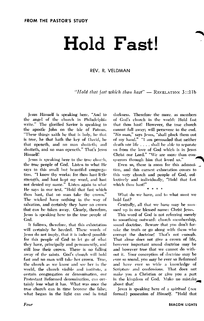### Hold Fast!

#### REV. R. VELDMAN

"Hold that fast which thou hast"  $-$  REVELATION 3::11b

Jesus Himself is speaking here. "And to the angel of the church in Philadelphia write." The glorified Savior is speaking to the apostle John on the isle of Patmos. "These things saith he that is holy, he that is true, he that hath the key of David, he that openeth, and no man shutteth; and shutteth, and no man openeth." That's Jesus Himself!

Jesus is speaking here to the true church, the true people of God. Listen to what He says to this small but beautiful congregation. "I know thy works: for thou hast little strength, and hast kept my word, and hast not denied my name." Listen again to what He says in our text, "Hold that fast which thou hast, that no man take thy crown.' The wicked have nothing in the way of salvation, and certainly they have no crown that can be taken away. Clearly, therefore, Jesus is speaking here to the true people of God.

It follows, therefore, that this exhortation will certainly be heeded. These words of Jesus do not imply, that it is indeed possible for this people of God to let go of what they have, principally and permanently, and still lose their crown. There is no falling away of the saints. God's church will hold fast and no man will take her crown. True, the church as we know and see her in the world, the church visible and institute, a certain congregation or denomination, our Protestant Reformed denomination, can certainly lose what it has. What was once the true church can in time become the false; what began in the light can end in total darkness. Therefore the more, as members of God's church in the world: Hold fast that thou hast! However, the true church cannot fall away; will persevere to the end. "No man," says Jesus, "shall pluck them out of my hand." "I am persuaded that neither death nor life . . . . shall be able to separate us from the love of God which is in Jesus Christ our Lord." "We are more than conquerors through him that loved us."

Even so, there is room for this admonition, and this earnest exhortation comes to this very church and people of God, collectively and individually, "Hold that fast which thou hast!"

 $\bullet$   $\bullet$   $\bullet$   $\bullet$ 

What do we have, and to what must we hold fast?

Centrally, all that we have may be summed up in one blessed name: Christ Jesus.

This word of God is not referring merely to something outward: church membership, sound doctrine. Beware that you don't forsake the truth or go along with them who corrupt the doctrine! That's not enough. That alone does not give a crown of life, however important sound doctrine may be and however true that we cannot do without it. Your conception of doctrine may be ever so sound, you may be ever so Reformed and have ever so wide a knowledge of Seripture and confessions. That does not make you a Christian or give you a part in the kingdom of God. Make no mistake about that!

Jesus is speaking here of a *spiritual* (not formal) possession of Himself. "Hold that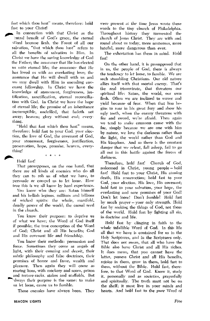fast which thou bast" means, therefore: hold fast to vour Christ!

In connection with that Christ as the entral benefit of God's grace, the cternal Word become flesh, the Fount of all our salvation, "that which thou hast" refers to all the benefits of salvation in Him. In Christ we have the saving knowledge of God the Father; the assurance that He has elected us unto eternal life: the assurance that He has loved us with an everlasting love; the assurance that He will dwell with us and we may dwell with Him in unending covenant fellowship. In Christ we have the knowledge of atonement, forgiveness, justification, sanctification, eternal reconciliation with God. In Christ we have the hone of eternal life; the promise of an inheritance incorruptible, undefiled, that fadeth not away; heaven; glory without end; everything.

"Hold that fast which thou hast" means, therefore: hold fast to your God. your election, the love of God, the covenant of God, your atonement, forgiveness, justification, preservation, hope, promise, heaven, everything!

> $\sim$   $\sim$  $\alpha - \alpha$

Hold fast!

That presupposes, on the one hand, that there are all kinds of enemies who do all they can to rob us of what we have, to persuade or compel us to let loose. How true this is we all know by hard experience.

You know who they are: Satan himself and his hellish legions, millions and billions of wicked spirits; the whole, manifold, deadly power of the world; the carnal seed in the church.

You know their purpose: to deprive us of what we have; the Word of God itself if possible; the true conception of the Word of God; Christ and all His benefits; God and His covenant life and friendship,

You know their methods: persuasion and force. Sometimes they come as angels of light, with their cunning and deceit, their subtle philosophy and false doctrines, their promises of honor and fame, wealth and pleasure. Then again they will come as roaring lions, with mockery and scorn, prison and torture-racks, stakes and scaffolds. But hivays their purpose is the same: to make us let loose, cause us to fumble.

Those enemies have always been. They

were present at the time Jesus wrote these words to the tiny church of Philadelphia. Throughout history they tormented the church of Jesus Christ. They are with and round about us today, more numerous, more hateful, more dangerous than ever,

The exhortation has them in mind. Hold fast!

On the other hand, it is presupposed that in us, the people of God, there is always the tendency to let loose, to fumble. We are such stumbling Christians. Our old nature allies itself with that mortal enemy. That's the real triumvirate, that threatens our spiritual life: Satan, the world, our own flesh. Often we are inclined to waver and yield because of fear. When that lion begins to roar in his great fury and show his ugly teeth, when the enemy threatens with fire and sword, we're afraid. Then again we tend to make common cause with the foe, simply because we are one with him by nature, we love the darkness rather than the light, the world rather than God and His kingdom. And so there is the constant danger that we relent, fall asleep, fail to go all out in this battle against the forces of darkness.

Therefore, hold fast! Church of God, redeemed in Christ, young people - hold fast! Hold fast to your Christ, His atoning death, His resurrection; hold fast to your God, your election, His love, His covenant; hold fast to your salvation, your hope, the everlasting and sure promises of your God! Don't let loose! Don't fumble! Hold fast by much prayer – your only strength. Hold fast by seeking the things of God, not those of the world. Hold fast by fighting all sin, in doctrine and life.

Hold fast by clinging in faith to the whole infallible Word of God. In this life all that we have is contained for us in the Holy Scriptures, and in the Scriptures only. That does not mean, that all who have the Bible also have Christ and all His riches. It does mean, that you cannot have the latter, possess Christ and all His benefits, rejoice in them, grow in them, hold fast to them, without the Bible. Hold fast, therefore, to that Word of God. Know it, study it, personally and as societies, prayerfully and spiritually. The truth must not be on the shelf; it must live in your minds and hearts. And hold fast to the pure Word of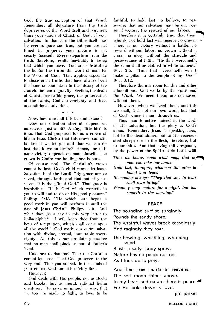God, the true conception of that Word. Remember, all departure from the truth deprives us of the Word itself and obscures, blurs vour vision of Christ, of God, of your salvation. In that case the Bible itself may be ever so pure and true, but you are not tuned in properly, your picture is not clearly focused. Every departure from the truth, therefore, results inevitably in losing that which you have. You are substituting the lie for the truth; the word of man for the Word of God. That applies especially to those great truths that have always been the bone of contention in the history of the church: human depravity, election, the death of Christ, irresistible grace, the preservation of the saints, God's sovereignty and free, unconditional salvation.

#### $\bullet$   $\bullet$   $\bullet$   $\bullet$

Now, how must all this be understood?

Does our salvation after all depend on ourselves? Just a bit? A tiny, little bit? Is it so, that God prepared for us a crown of life in Jesus Christ; that this crown can still be lost if we let go; and that we can do just that if we so desire? Hence, the ultimate victory depends on man himself. The crown is God's: the holding fast is ours.

Of course not! The Christian's crown cannot be lost. God's child cannot let loose. Salvation is of the Lord! "By grace are ye saved, through faith, and that not of yourselves, it is the gift of God," That grace is irresistible. "It is God which worketh in vou to will and to do of His good pleasure." Philipp. 2:13. 'He which hath begun a good work in you will perform it until the day of Jesus Christ." Philipp. 1:6. And what does Jesus say in this very letter to Philadelphia? "I will keep thee from the hour of temptation, which shall come upon all the world." God works our entire salvation with divine, eternal, immutable sovereignty. All this is our absolute guarantee that no man shall pluck us out of Father's hand.

Hold fast to that too! That the Christian cannot let loose! That God preserves to the very end! That you are safe in the hands of your eternal God and His mighty Son!

However!

God deals with His people, not as stocks and blocks, but as moral, rational living creatures. He saves us in such a way, that we too are made to fight, to love, to be faithful, to hold fast, to believe, to persevere; that our salvation may be our personal victory, the reward of our labors.

Therefore it is certainly true, that thos who do not hold fast will receive no crown. There is no victory without a battle, no reward without labor, no crown without a cross, no glory without the struggle and perseverance of faith. "He that overcometh, the same shall be clothed in white raiment." Rev. 3:5. "Him that overcometh will I make a pillar in the temple of my God." Rev. 3:12.

Therefore there is room for this and other admonitions. God works by the Spirit and the Word. We need them; are not saved without them.

However, when we heed them, and this we shall, it is not our own work, but that of God's grace in and through us.

Thus man is active indeed in the work of His salvation, but the glory is God's alone. Remember, Jesus is speaking here, not to the dead sinner, but to His regenerated sheep; not to the flesh, therefore, but to our faith. And that living faith responds, by the power of the Spirit: Hold fast I will

Thus we know, come what may, that no man can take our crown.

- Hold fast, therefore, whatever the price in blood and tears!
- Remember always: "They that sow in tears shall reap in joy."

Weeping may endure for a night, but joy cometh in the morning."

#### **PEACE**

The sounding surf so surgingly Pounds the sandy shore; The wrathful waves break ceaselessly And ragingly they roar.

The howling, whistl'ing, whipping wind

Blasts a salty sandy spray.

Nature has no peace nor rest

As I look up to pray.

And then I see His star-lit heavens;

The soft moon shines above.

In my heart and nature there is peace. For He looks down in love.

jim jonker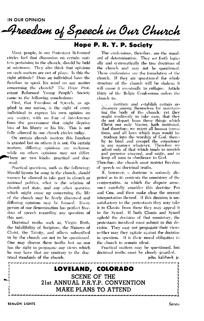IN OUR OPINION

### Freedom of Speech in Our Church

#### Hope P. R. Y. P. Society

Many people, in our Protestant Reformed circles feel that discussion on certain matters pertaining to the church, should be held at minimum. They also think that opinions on such matters are out of place. Is this the right attitude? Does an individual have the freedom to speak his mind on any matter concerning the church? The Hope Protestant Reformed Young People's Society came to the following conclusions:

First, that Freedom of Speech, as applied in our nation, is the right of every individual to express his own opinion on any matter, with no fear of interference from the government that might deprive him of his liberty or his life. This is not fully allowed in our church circles today.

On certain church matters this freedom is granted but on others it is not. On certain matters, differing opinions are welcome, while on others opinions may not differ. There are two kinds: practical and doc-.rinal.

Practical questions, such as the following: Should hymns be sung in the church, should women be allowed to take part in church or national politics, what is the relation of church and state, and any other question which might come up concerning the life of the church may be freely discussed and differing opinions may be formed. Every person of our denomination has perfect freedom of speech regarding any question of this sort.

Doctrinal truths such as, Virgin Birth, the Infallibility of Scripture, the Natures of Christ, the Trinity, and others subscribed to by the church are not to be questioned. One may discuss these truths but no one has the right to propagate any views which he may have that are contrary to the doctrinal standards of the church.

The confessions, therefore, are the standard of determination. They set forth logically and systematically the true doctrines of the church and may not be questioned. These confessions are the foundation of the church. If they are questioned the whole structure of the church will be shaken; it will cause it eventually to collapse. Article thirty of the Belgic Confessions orders the church to.

. . institute and establish certain ordinances among themselves for maintaining the body of the church: vet they ought studiously to take care, that they do not depart from those things which Christ our only Master, bath instituted. And therefore, we reject all human inventions, and all laws which man would introduce into the worship of God, there-<br>by to bind and compel the conscience in any manner whatever. Therefore we admit only of that which tends to nourish and preserve concord, and unity, and to keep all men in obedience to God.

Therefore, the church must restrict freedom of speech on doctrinal truths.

If, however, a doctrine is seriously disputed as to its contents the consistory of the congregation, in which the dispute arose, must carefully consider this doctrine Pro and Con, and then make clear the correct interpretation thereof. If this decision is unsatisfactory to the protestants they may take it to Classis; from there they may appeal it to the Synod. If both Classis and Synod uphold the decision of that consistory, the protestants involved must submit to this decision. They may not propagate their views neither may they agitate against the doctrine in question. It is their moral obligation to the church to remain silent.

Practical matters may be questioned, but doctrinal truths must be closely guarded.

john kalsbeek ir.

LOVELAND, COLORADO **SCENE OF THE** 21st ANNUAL P.R.Y.P. CONVENTION MAKE PLANS TO ATTEND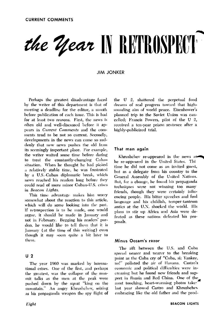# the Year IN RETROSPECT

**JIM JONKER** 

Perhaps the greatest disadvantage faced by the writer of this department is that of meeting a deadline for the editor, a month before publication of each issue. This is bad for at least two reasons. First, the news is often old and well-discussed before it appears in Current Comments and the comments tend to be not so current. Secondly, developments in the news can come so suddenly that new news pushes the old from its seemingly important place. For example, the writer waited some time before daring to treat the constantly-changing Cuban situation. When he thought he had picked a relatively stable time, he was frustrated by a U.S.-Cuban diplomatic break, which news reached his readers long before they could read of more minor Cuban-U.S. crises in Beacon Lights.

This time advantage makes him worry somewhat about the reaction to this article, which will do some looking into the past. If retrospection is to be made, one would argue, it should be made in January and not in February. Begging his readers' pardon, he would like to tell them that it is January (at the time of this writing) even though it may seem quite a bit later to them.

#### $U<sub>2</sub>$

The year 1960 was marked by international crises. One of the first, and perhaps the greatest, was the collapse of the summit talks as the men at the peak were pushed down by the squat "king on the mountain." An angry Khrushchev, seizing as his propaganda weapon the spy flight of the U 2, shattered the perpetual fond dreams of real progress toward that highsounding aim of world peace. Eisenhower's planned trip to the Soviet Union was cancelled; Francis Powers, pilot of the U 2, received a ten-year prison sentence after a highly-publicized trial.

#### That man again

Khrushchev re-appeared in the news as he re-appeared in the United States. Thi time he did not come as an invited guest, but as a delegate from his country to the General Assembly of the United Nations. But, for a change, he found his propaganda techniques were not winning too many friends, though they were certainly influencing people. His bitter speeches and foul language and his childish, temper-tantrum antics at the U.N. shocked the world. His plans to stir up Africa and Asia were defeated as these nations defeated his proposals.

#### Minus Occam's razor

The rift between the U.S. and Cuba spread nearer and nearer to the breaking point as the Cuba cry of "Cuba, si; Yankee, no!" polluted the air of Havana. Castro's economic and political difficulties were increasing but he found new friends and support in Russia and Red China. One of the most touching, heart-warming photos taker last year showed Castro and Khrushchev embracing like the old father and the prod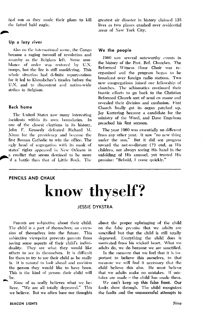igal son as they made their plans to kill the fatted bald eagle.

#### Up a lazy river

Also on the international scene, the Congo became a raging turmoil of revolution and anarchy as the Belgians left. Some semblance of order was restored by U.N. troops, but the fire is still smoldering. This whole situation had definite repurcussions for it led to Khrushchev's tirades before the U.N. and to discontent and nation-wide strikes in Belgium.

#### **Back home**

The United States saw many interesting incidents within its own boundaries. In one of the closest elections in its history, John F. Kennedy defeated Richard M. Nixon for the presidency and became the first Roman Catholic to win the office. The ucly head of segregation with its mask of states' rights appeared in New Orleans in a conflict that seems destined to be more of a battle than that of Little Rock. The

greatest air disaster in history claimed 135 lives as two planes crashed over residential areas of New York City.

#### We the people

1960 saw several noteworthy events in the history of the Prot. Ref. Churches. The Reformed Witness Hour Choir was reorganized and the program began to be broadcast over foreign radio stations. Two new congregations joined our fellowship of churches. The schismatics continued their frantic efforts to go back to the Christian Beformed Church sort of semi cn masse and revealed their division and confusion. First Church finally got its organ patched up. Jay Kortering became a candidate for the ministry of the Word, and Dave Engelsma preached his first sermon.

The year 1960 was essentially no different from any other year. It saw "no new thing under the sun." But it did see progress toward the not-so-distant (?) end, as His children, not always seeing His hand in the unfolding of His counsel, yet trusted His promise: "Behold, I come quickly."

#### PENCILS AND CHALK

### know thyself?

#### **JESSIE DYKSTRA**

Parents are subjective about their child. The child is a part of themselves; an extension of themselves into the future. This subjective viewpoint prevents parents from seeing some aspects of their child's individuality. They see what they would like others to see in themselves. It is difficult for them to try to see their child as he really is. It is natural to look ahead and envision the person they would like to have been. This is the kind of person their child will be.

None of us really believes what we believe. "We are all totally depraved." This we believe. But we often base our thoughts about the proper upbringing of the child on the false premise that we adults are sanctified but that the child is still totally depraved. Everything the child does is motivated from his wicked heart. What we adults do, we do because we are sanctified.

In the measure that we feel that it is important to believe this ourselves, to that measure we will find it necessary that the child believe this also. He must believe that we adults make no mistakes. If mistakes are made  $-$  the child has made them.

We can't keep up this false front. Our faults show through. The child recognizes the faults and the unsuccessful attempts to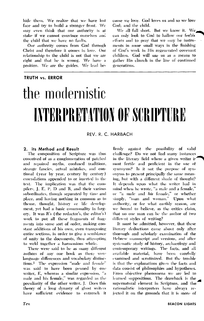hide them. We realize that we have lost face and try to build a stronger front. We may even think that our authority is at stake if we cannot convince ourselves and the child that we have no faults.

Our authority comes from God through Christ and therefore it comes in love. Our relationship to the child is not that we are right and that he is wrong. We have a position. We are the guides. We lead because we love. God loves us and so we love God: and the child.

We all fall short. But we know it. We can only look to God to hallow our feeble efforts and to prav that we may be instruments in some small ways in the finishing of God's work in His regenerated covenant children. God will use us as a means to gather His church in the line of continued generations.

## the modernistic INTERPRETATION OF SCRIPTIER

REV. R. C. HARBACH

#### 2. Its Method and Result

**TRUTH vs. ERROR** 

The composition of Scripture was thus conceived of as a conglomeration of patched and repaired myths, confused traditions, strange fancies, actual mistakes, and continual (year by year, century by century) emendations appended to or inserted in the text. The implication was that the compilers, J, E, P, D and R, and their various subordinates, though separated by time and place, and having nothing in common as to theme, thought, history or life development, yet had a basic commonality in forgery. It was R's (the redactor's, the editor's) work to put all these fragments of fragments into some sort of order, making constant additions of his own, even transposing entire sections, in order to give a semblance of unity to the documents, thus attempting to weld together a harmonious whole.

There were said to be as many different authors of any one book as there were language differences and vocabulary distinctions.<sup>5</sup> The expression "male and female" was said to have been penned by one writer, E, whereas a similar expression, "a male and his female," was regarded as the peculiarity of the other writer, J. Does this theory of a long dynasty of ghost writers have sufficient evidence to entrench it

firmly against the possibility of valid challenge? Do we not find many instances in the literary field where a given writer is most fertile and proficient in the use of synonyms? Is it not the purpose of synonyms to present principally the same meaning, but with a different shade of thought? It depends upon what the writer had in mind when he wrote, "a male and a female." or "a male and his female," or whether simply, "man and woman." Upon what authority, or for what earthly reason, are we bound to believe, as the critics claim, that no one man can be the author of two different styles of writing?

It must be admitted, however, that these literary deductions came about only after thorough and scholarly examination of the Hebrew manuscript and versions, and after systematic study of history, archaeology and contemporary writings. The facts, and all available material, have been carefully examined and scrutinized. But the trouble is that the explanations given the facts and data consist of philosophies and hypotheses. From objective phenomena we are led to learned suppositions. The drawback is the supernatural element in Scripture, and the rationalistic interpreters have always rejected it on the grounds that it is more of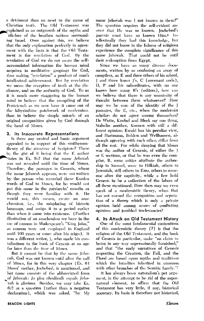a detriment than an asset to the cause of Christian truth. The Old Testament was explained as an outgrowth of the myths and olk-lore of the heathen nations surrounding Israel. Over against this, we believe that the only explanation perfectly in agreement with the facts is that the Old Testament is the revelation of God. By the revelation of God we do not mean the selfaccumulated information the human mind acquires in meditative gropings for God, thus making "revelation" a product of man's intellectual achievement. But by revelation we mean the reception of truth at the disclosure, and on the authority of God. To us it is much more staggering to the human mind to believe that the compiling of the Penteteuch as we now have it came out of the labyrinthine patchwork of modernism, than to believe the simple miracle of an original composition given by God through the hand of Moses.

#### 3. Its Inaccurate Representations

Is there any central and basic argument appealed to in support of this smithereentheory of the structure of Seripture? There is; the gist of it being that the E author tates in Ex. 6:2 that the name Jehovah was not revealed until the time of Moses. Therefore, the passages in Genesis, where the name Jehovah appears, were not written by the person who recorded these Exodus words of God to Moses, for he would not put this name in the patriarchs' mouths as though they were familiar with it. He would not, this means, create an anachronism, i.e., the misplacing of historic language, and assign it to a period earlier than when it came into existence. (Further illustration of an anachonism we have in the use of cannon in Shakespeare's "King John," as cannon were not employed in England until 100 years or more after his reign). It was a different writer, J, who made his contributions to the book of Genesis at an age far later than the time of Moses.

But it cannot be that by the name *Jeho*cah, God was not known until after the call of Moses, for in this very chapter (Ex. 6) Moses' mother, Jochebed, is mentioned, and her name consists of the abbreviated form of Jehovah: Jo plus chedbedh equals Jehovah is glorious. Besides, we may take Ex. 6:2 as a question (rather than a negative declaration), which was asked, "by My

Since we have so many diverse documents, written by so confusing an array of compilers, as E and three others of his school, and three lesser 1's, C (covenant code), D, P and his subordinates, with no one knows how many R's (editors), how can we believe that there is any unanimity of thought between them whatsoever? How may we be sure of the identity of the J passages, the E, etc., when the modernist scholars do not agree among themselves? De Wette, Knobel and Bleek say one thing, Stahelin another, Kuenen with still a different opinion; Ewald has his peculiar view, and Hartmann, Bohlen and Wellhausen, although agreeing with each other, differ from all the rest. For while denying that Moses was the author of Genesis, of either the J or E sections, or that he was even the compiler, R, some critics attribute the authorship to Samuel, some to Hilkiah, others to Jeremiah, still others to Ezra, others to someone after the captivity, while a few hold Genesis to be a collection of the labors of all these mentioned. How then may we even speak of a *modernistic* theory, when that has not earned the recognition and reputation of a *theory* which is only a private opinion held among scores of conflicting opinions and jumbled irrelevancies?

#### 4. Its Attack on Old Testament History

One of the most fundamental contentions of this modernistic theory (?) is that the religion of the Old Testament, and the book of Genesis in particular, make "no claim to being in any way supernaturally furnished," and that "the early narratives of Genesis respecting the Creation, the Fall, and the Flood are based upon myths and traditions which the Israelites inherited in common with other branches of the Semitic family."7

It has always been naturalism's pet argument, in the attempt to be rid of the supernatural element, to affirm that the Old Testament has very little, if any, historical accuracy. Its basis is therefore not historical,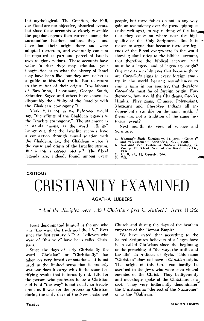but mythological. The Creation, the Fall, the Flood are not objective, historical events, but since these accounts so closely resemble the popular legends then current among the surrounding heathen nations, they must have had their origin there and were adopted therefrom, and eventually came to be regarded as part and parcel of Israel's own religious fictions. These accounts have value in that they may stimulate your imagination as to what the history of Israel may have been like; but they are useless as a guide to historical truth. But to return to the matter of their origin: "the labours of Rawlinson, Lenormant, George Smith, Schrader, Sayce and others have shown indisputably the affinity of the Israelite with the Chaldean cosmogony."<sup>8</sup>

Mark, it is not, as we Reformed would say, "the affinity of the Chaldean legends to the Israelite cosmogony." The statement as it stands means, as the word "affinity" brings out, that the Israelite records have a connection through causal relation with the Chaldean, i.e., the Chaldean source is the cause and origin of the Israelite stream, But is this a correct picture? The Flood legends are, indeed, found among every people, but these fables do not in any way gain an ascendency over the pseudepigrapha (false-writings), to say nothing of the fact, that they come no where near the high quality of the Holy Scriptures. But is it reason to argue that because there are legends of the Flood everywhere in the world showing similarities to the biblical account, that therefore the biblical account itself must be a legend and of legendary origin? One may as sensibly aver that because there are *Coca-Cola* signs in every foreign country in the world bearing resemblances to similar signs in our country, that therefore Coca-Cola must be of foreign origin! Furthermore, how would the Chaldeans, Greeks, Hindus, Phyrygians, Chinese. Polynesians, Mexicans and Cherokee Indians all independently stumble on the same myth, if theirs was not a tradition of the same historical event?

Next month, its view of science and Scripture.

- 5. Hasting's Bible Dictionary, 11, arts, "Genesis"<br>and "Hexateuch." Scribner's, N.Y., 1900.<br>6. Old and New Testament Biblical Theology, G.<br>Vos, p. 73, Theol. Sem, of the Rei'd Epis Ch.,<br>1934.
- 
- 
- 7.  $H, B, D, H$ , Genesis, 146.<br>8. ibid.

#### **CRITIQUE**

## CRISTIANITY EXAMINED

#### **AGATHA LUBBERS**

"And the discibles were called Christians first in Antioch." Acrs 11:26c

Jesus denominated himself as the one who was "the way, the truth and the life." Ever since the first century A.D. all believers who were of "this way" have been called Christians.

Since the days of early Christianity the word "Christian" or "Christianity" has taken on very broad connotations. It is not used in the limited sense that it formerly was nor does it carry with it the same terrifying results that it formerly did. Life for the person who professes to be a Christian and is of "the way" is not nearly so treacherous as it was for the professing Christian during the early days of the New Testament Church and during the days of the heathen emperors of the Roman Empire.

We have stated that according to the Sacred Scriptures believers of all ages have been called Christians since the beginning of the preaching of "the way, the truth, and the life" in Antioch of Syria. This name "Christian" does not have a Christian origin. The origin of this term can hardly be ascribed to the Jews who were such violent enemies of the Christ. They belligerently and mockingly spoke of the Christians as a sect. They very indignantly denominated the Christians as "the sect of the Nazarener" or as the "Galileans."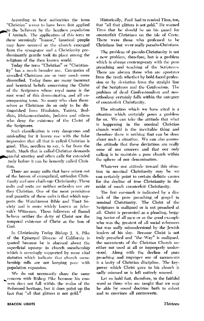According to best authorities the term "Christian" seems to have been first applied to the believers by the heathen population If Antioch. The application of this term to these seemingly "insane," fanatical people may have occured as the church emerged from the synagogue and a Christianity predominantly gentile took its place among the religions of the then known world.

Today the term "Christian" or "Christianity" has a much broader use. Categories of so-called Christians are so very much more diversified. Today there are many incorrect and heretical beliefs concerning the Christ of the Scriptures whose royal name is the root word of this denominating and all encompassing term. So many who class themselves as Christians do so only to be distinguished from Hinduists, Taoists, Buddists, Mohammedanists, Judaists and others who deny the existence of the Christ of the Scriptures.

Such classification is very dangerous and misleading for it leaves one with the false impression that all that is called Christian is good. This, needless to say, is far from the truth. Much that is called Christian demands careful scrutiny and often calls for extended. tudy before it can be honestly called Christian.

There are many cults that have arisen out of the bosom of evangelical, orthodox Christianity and now challenge Christianity. These cults and sects are neither orthodox nor are they Christian. One of the most permicious and parasitic of these cults is that which supports the Watchtower Bible and Tract Society and is more widely known as Jehovah's Witnesses. These followers of Russel believe neither the deity of Christ nor the temporal existence of Christ as the Son of God.

In Christianity Today Bishop J. A. Pike of the Episcopal Diocese of California is quoted because he is alarmed about the superficial upsurge in church membership which is seemingly supported by some vital statistics which indicate that church membership rolls are not keeping pace with population expansion.

We do not necessarily share the same concern with Bishop Pike because his concern does not fall within the realm of the Reformed heritage, but it does point up the fact that "all that glitters is not gold."

Historically, Paul had to remind Titus, too, that "all that glitters is not gold." He warned Titus that he should be on his guard for counterfeit Christians on the isle of Crete. There were those who professed to be Christians but were really pseudo-Christians.

The problem of pseudo-Christianity is not a new problem, therefore, but is a problem which is *always* contemporary with the pure preaching and teaching of the Scriptures. There are always those who are apostates from the truth whether by bold-faced profession or by deviation from the straight line of the Scriptures and the Confessions. The problem of dead Confessionalism and neoorthodoxy certainly falls within the category of counterfeit Christianity.

The situation which we have cited is a situation which certainly poses a problem for us. We can take the attitude that what is happening in the nominal Christian church world is the inevitable thing and therefore there is nothing that can be done about such a situation. We can also assume the attitude that these deviations are really none of our concern and that our only calling is to maintain a pure church within the sphere of our denomination.

Whatever our attitude toward this situation in nominal Christianity may be we can certainly point to certain definite causes for the decline of true Christianity in the midst of much counterfeit Christianity.

The first ear-mark is indicated by a dire lack of the pure preaching of gospel in nominal Christianity. The Christ of the Scriptures is maligned or is not preached at all. Christ is presented as a pleading, begging Savior of all men or as the good example who was the greatest of all social reformers but was sadly misunderstood by the Jewish leaders of his dav. Because Christ is not truly preached and "the Way" is maligned, the sacraments of the Christian Church are either not used at all or improperly under-Along with the decline of pure stood. preaching and improper use of sacraments is a laxity of Christian discipline. The keypower which Christ gave to his church is sadly misused or is left entirely unused.

Let us hold fast, therefore, to the faithful word as those who are taught that we may be able by sound doctrine both to exhort and to convince all controverts.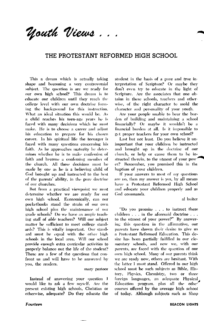Nouth Views ...

#### THE PROTESTANT REFORMED HIGH SCHOOL

This a dream which is actually taking shape and becoming a very controversial subject. The question is are we ready for our own high school? This dream is to educate our children until they reach the college level with our own doctrine forming the background for this instruction. What an ideal situation this would be. As a child reaches his teen-age vears he is faced with many decisions which he must make. He is to choose a career and adjust his education to prepare for his chosen career. In his spiritual life the teenager is faced with many questions concerning his faith. As he approaches maturity he determines whether he is to make confession of faith and become a confessing member of the church. All these decisions must be made by one as he is a believing child of God brought up and instructed to the best of the parents' ability, in the pure doctrine of our churches.

But from a practical viewpoint we must determine whether we are ready for our own high school. Economically, can our pocketbooks stand the strain of our own high school plus the maintenance of our grade schools? Do we have an ample teaching staff of able teachers? Will our subject matter be sufficient to meet college standards? This is vitally important. Our standard must be equal with the other high schools in the local area. Will our school provide enough extra curricular activities to properly balance out the life of the student? These are a few of the questions that confront us and will have to be answered by vou, the readers.

mary ixistoor

Instead of answering your question I would like to ask a few myself. Are the present existing high schools, Christian or otherwise, adequate? Do they educate the

Fourteen

student in the basis of a pure and true interpretation of Scripture? Or maybe they don't even try to educate in the light of Scripture. Are the associates that one obtains in these schools, teachers and otherwise, of the right character to mold the character and personality of your youth.

Are your people unable to bear the burden of building and maintaining a school financially? Or maybe it wouldn't be a financial burden at all. Is it impossible to get proper teachers for your own school?

Last but not least. Do you believe it unimportant that your children be instructed and brought up in the doctrine of our church, or help or cause them to be instructed therein, to the utmost of your power? Remember, you promised this in the baptism of vour children.

If your answers to most of my questions are no, then my answer is yes, by all means have a Protestant Reformed High School and educate your children properly and as God commands.

al buiter

"Do you promise . . . to instruct these children . . . in the aforesaid doctrine . . . to the utmost of your power?" By answering this question in the affirmative, our parents have shown their desire to give us a Protestant Reformed Education. This desire has been partially fulfilled in our elementary schools, and now we, with our parents, are faced with the question of our own high school. Many of our parents think we are ready now, others are hesitant. With the latter I must stand. Offered in our high school must be such subjects as Bible, History, Physics, Chemistry, two or three foreign languages, an adequate Physical Education program, plus all the other courses offered by the average high school of today. Although subjects such as Shop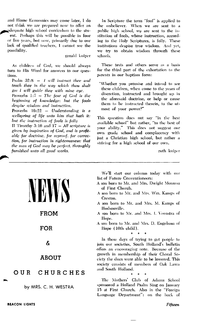and Home Economics may come later, I do not think we are prepared now to offer an adequate high school curriculum to the stuent. Perhaps this will be possible in four or five years, but now, primarily due to our lack of qualified teachers, I cannot see the possibility.

gerald kuiper

As children of God, we should always turn to His Word for answers to our questions

Psalm  $32:8 - l$  will instruct thee and teach thee in the way which thou shalt go: I will guide thee with mine eye. Proverbs  $1:7 - The fear of God is the$ beginning of knowledge: but the fools despise wisdom and instruction.

Proverbs  $16:22 - Understanding$  is a wellspring of life unto him that hath it: but the instruction of fools is folly

II Timothy 3:16 and  $17 - All$  scripture is given by inspiration of God, and is profitable for doctrine, for reproof, for correction, for instruction in righteousness: that the man of God may be perfect, throughly furnished unto all good works.

In Scripture the term "fool" is applied to the unbeliever. When we are sent to a public high school, we are sent to the institution of fools, whose instruction, according to the Holy Scriptures, is folly. These institutions despise true wisdom. And yet, we try to obtain wisdom through these schools.

These texts and others serve as a basis for the third part of the exhortation to the parents in our baptism form:

"Whether you promise and intend to see these children, when come to the years of discretion, instructed and brought up in the aforesaid doctrine, or help or cause them to be instructed therein, to the utmost of your power?"

This question does not say "in the best available school" but rather, "to the best of your ability." This does not suggest our own grade school and complacency with just a Christian high school, but rather a striving for a high school of our own.

Language Department": on the back of

ruth kniper

|                      | We'll start our column today with our<br>list of Future Conventioneers:<br>A son born to Mr. and Mrs. Dwight Monsma<br>of First Church.<br>A son born to Mr. and Mrs. Wm. Kamps of<br>Creston.<br>A son born to Mr. and Mrs. M. Kamps of                                      |  |
|----------------------|-------------------------------------------------------------------------------------------------------------------------------------------------------------------------------------------------------------------------------------------------------------------------------|--|
| <b>FROM</b>          | Hudsonville.<br>A son born to Mr. and Mrs. I. Veenstra of<br>Hope.                                                                                                                                                                                                            |  |
| FOR                  | A son born to Mr. and Mrs. D. Engelsma of<br>Hope (10th child).                                                                                                                                                                                                               |  |
| ઠ                    | In these days of trying to get people to<br>join our societies, South Holland's bulletin<br>offers an encouraging note. Because of the<br>growth in membership of their Choral So-<br>ciety the dues were able to be lowered. This<br>society consists of members of Oak Lawn |  |
| <b>ABOUT</b>         |                                                                                                                                                                                                                                                                               |  |
| CHURCHES<br>OUR      | and South Holland.                                                                                                                                                                                                                                                            |  |
| by MRS. C. H. WESTRA | The Mothers' Club of Adams School<br>sponsored a Holland Psalm Sing on January<br>15 at First Church. Also in the "Foreign"                                                                                                                                                   |  |

Fifteen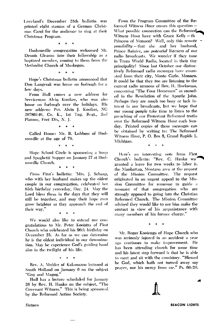Loveland's December 25th bulletin was printed eight stanzas of a German Christmas Carol for the audience to sing at their Christmas Program.

ó

Hudsonville congregation welcomed Mr. Dennis Gleason into their fellowship as a baptized member, coming to them from the Methodist Church of Muskegon.

 $\ddot{\phantom{a}}$ 

Hope's Christmas bulletin announced that Don Langerak was home on furlough for a few days.

From Hull comes a new address for Serviceman Alvin Kooiker, who was also home on furlough over the holidays. His new address: Pvt. Alvin J. Kooiker, NG 26786146, Co. K., 1st Tng. Regt., 2nd Platoon, Fort Dix, N. J.

 $\mathbf{a}$ 

Called Home: Mr. B. Lubbers of Hudsonville at the age of 79.

 $\bullet$ 

Hope School Circle is sponsoring a Soup and Spaghetti Supper on January 27 at Hudsonville Church.

From First's bulletin: 'Mrs. J. Schaap, who with her husband makes up the oldest couple in our congregation, celebrated her 85th birthday yesterday, Dec. 24. May the Lord bless them in the days that they will still be together, and may their hope ever grow brighter as they approach the end of their way."

 $\ddot{\phantom{0}}$ 

We would also like to extend our congratulations to Mr. Peter Kooistra of First Church who celebrated his 96th birthday on December 25. As far as we can determine he is the oldest individual in our denomination. May he experience God's guiding hand also in the twilight of his life.

> $\alpha$  $\ddot{\mathbf{Q}}$  $\ddot{\phantom{0}}$

Rev. A. Mulder of Kalamazoo lectured at South Holland on January 6 on the subject "Gog and Magog."

Hull has a lecture scheduled for January 26 by Rev. H. Hanko on the subject, "The Covenant Witness." This is being sponsored by the Reformed Action Society.

From the Program Committee of the Reformed Witness Hour comes this question -What possible connection can the Reformed Witness Hour have with Grace Kelly - th Princess of Monaco? Well, only this remote *possibility* - that she and her husband, Prince Rainier, are potential listeners of our radio broadcasts. We wonder if they tune in Trans World Radio, located in their tiny principality! Since last October our distinetively Reformed radio messages have emanated from their city, Monte Carlo, Monaco. It could be that they too are listening to the current radio sermons of Rev. H. Hoeksema, concerning "The Four Horsemen" as recorded in the Revelation of the Apostle John. Perhaps they are much too busy or lack interest in our broadcasts, but we hope that our young people take time to listen to the preaching of our Protestant Reformed truths over the Reformed Witness Hour each Sunday. Printed copies of these messages can be obtained by writing to: The Reformed Witness Hour, P. O. Box 8, Grand Rapids 1, Michigan.

ó  $\bullet$ ó

Here's an interesting note from First Church's bulletin: "Rev. C. Hanko wa granted a leave for two weeks to labor in the Manhattan, Montana area at the request of the Mission Committee. The request originated in an urgent appeal to the Mission Committee for someone to guide a remnant of that congregation who are strongly opposed to going into the Christian Reformed Church. The Mission Committee advised they would like to see him make the contact in view of his acquaintance with many members of his former charge."

Mr. Roger Kooienga of Hope Church who was seriously injured in an accident a year ago continues to make improvement. He has been attending church for some time and his latest step forward is that he is able to meet and sit with the consistory. "Blessed be God, which hath not turned away my prayer, nor his mercy from me." Ps. 66:20.